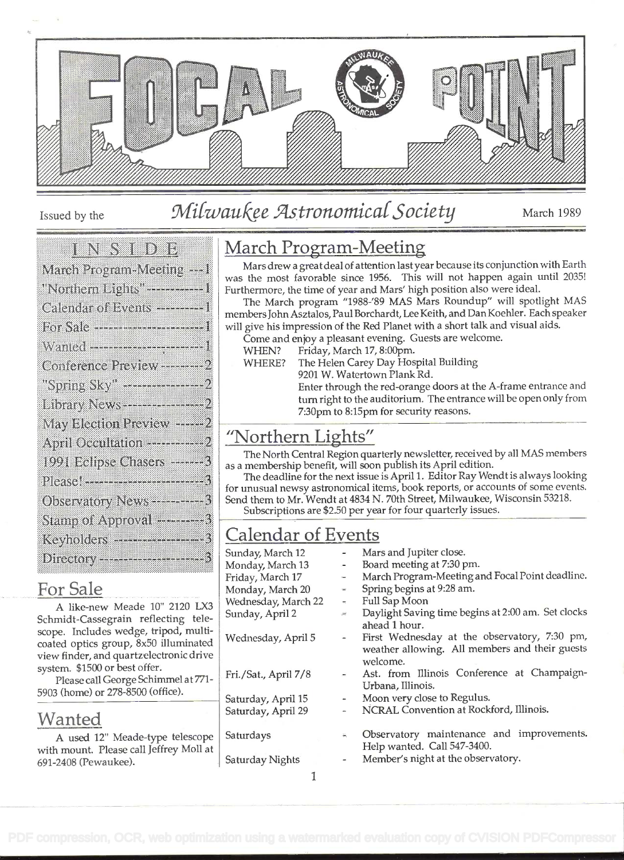

### Issued by the Milwaukee Astronomical Society March 1989

#### e en seulors

| March Program-Meeting --- I                   |
|-----------------------------------------------|
| Northern Lights' <del>- - - - - - - -</del> 1 |
| Calendar of Events ---------                  |
| For Sale -------------------------            |
|                                               |
| Conference Preview---------                   |
| "Spring Sky" ---------------                  |
| Library News---------------                   |
| May Election Preview ------                   |
| April Occultation -----------                 |
| 1991 Eclipse Chasers -------                  |
| Please!-------------------------              |
| Observatory News - - - - - - - -              |
| Stamp of Approval ---------                   |
| Keyholders --------------------               |
| Directory------------------                   |

#### For Sale

A like-new Meade 10" 2120 LX3 Schmidt-Cassegrain reflecting telescope. Includes wedge, tripod, multicoated optics group, 8x50 illuminated view finder, and quartzelectronic drive system. \$1500 or best offer.

Please call George Schimmel at 771- 5903 (home) or 278-8500 (office).

#### Wanted

A used 12" Meade-type telescope with mount. Please call Jeffrey Moli at 691-2408 (Pewaukee).

#### March Program-Meeting

Mars drew a great deal of attention last year because its conjunction with Earth was the most favorable since 1956. This will not happen again until 2035! Furthermore, the time of year and Mars' high position also were ideal.

The March program "1988-'89 MAS Mars Roundup" will spotlight MAS members John Asztalos, Paul Borchardt, Lee Keith, and Dan Koehier. Each speaker will give his impression of the Red Planet with a short talk and visual aids.

- Come and enjoy a pleasant evening. Guests are welcome.
	- WHEN? Friday, March 17, 8:00pm.
	- WHERE? The Helen Carey Day Hospital Building 9201 W. Watertown Plank Rd.

Enter through the red-orange doors at the A-frame entrance and turn right to the auditorium. The entrance will be open only from 7:30pm to 8:15pm for security reasons.

#### "Northern Lights"

The North Central Region quarterly newsletter, received by all MAS members as a membership benefit, will soon publish its April edition.

The deadline for the next issue is April <sup>1</sup>. Editor Ray Wendt is always looking for unusual newsy astronomical items, book reports, or accounts of some events. Send them to Mr. Wendt at 4834 N. 70th Street, Milwaukee, Wisconsin 53218.

Subscriptions are \$2.50 per year for four quarterly issues.

| <b>Calendar of Events</b>                                                                                                    |                                               |                                                 |  |  |
|------------------------------------------------------------------------------------------------------------------------------|-----------------------------------------------|-------------------------------------------------|--|--|
| Mars and Jupiter close.<br>Sunday, March 12<br>$\sim$                                                                        |                                               |                                                 |  |  |
| Monday, March 13                                                                                                             | $\sim$                                        | Board meeting at 7:30 pm.                       |  |  |
| Friday, March 17                                                                                                             | $\sim$                                        | March Program-Meeting and Focal Point deadline. |  |  |
| Spring begins at 9:28 am.<br>Monday, March 20<br>$\omega$                                                                    |                                               |                                                 |  |  |
| Wednesday, March 22                                                                                                          |                                               | - Full Sap Moon                                 |  |  |
| Daylight Saving time begins at 2:00 am. Set clocks<br>Sunday, April 2<br>$\frac{\partial \mathcal{L}}{\partial \mathcal{R}}$ |                                               |                                                 |  |  |
|                                                                                                                              |                                               | ahead 1 hour.                                   |  |  |
| Wednesday, April 5                                                                                                           | $\overline{\phantom{a}}$                      | First Wednesday at the observatory, 7:30 pm,    |  |  |
|                                                                                                                              |                                               | weather allowing. All members and their guests  |  |  |
|                                                                                                                              |                                               | welcome.                                        |  |  |
| Fri./Sat., April 7/8                                                                                                         | - Ast. from Illinois Conference at Champaign- |                                                 |  |  |
|                                                                                                                              |                                               | Urbana, Illinois.                               |  |  |
| Saturday, April 15                                                                                                           | $\overline{\phantom{a}}$                      | Moon very close to Regulus.                     |  |  |
| Saturday, April 29                                                                                                           | ÷                                             | NCRAL Convention at Rockford, Illinois.         |  |  |
|                                                                                                                              |                                               |                                                 |  |  |
| Saturdays                                                                                                                    | $\overline{\mathbf{m}}_i$                     | Observatory maintenance and improvements.       |  |  |
|                                                                                                                              |                                               | Help wanted. Call 547-3400.                     |  |  |
| Saturday Nights                                                                                                              |                                               | Member's night at the observatory.              |  |  |

 $\mathbf{1}$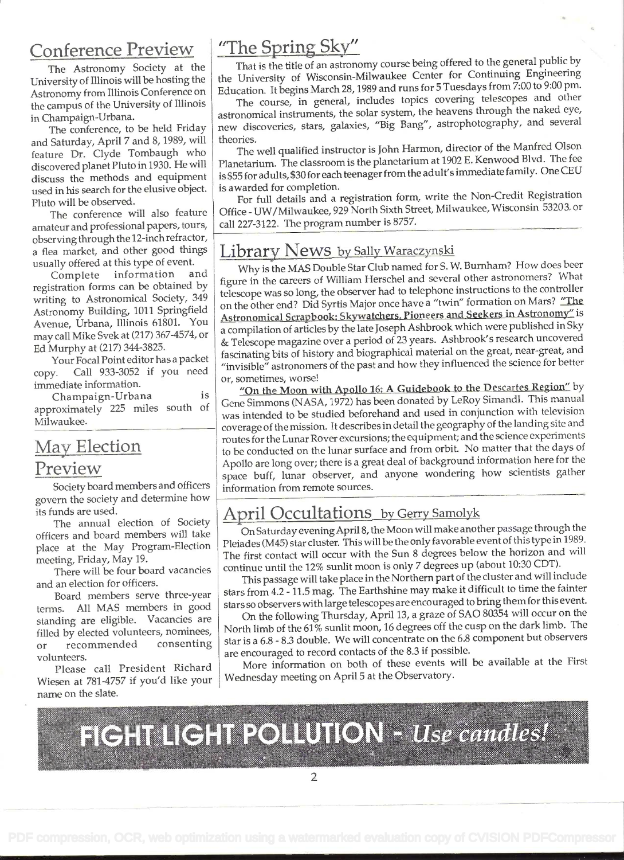#### Conference Preview

The Astronomy Society at the University of Illinois will be hosting the Astronomy from Illinois Conference on the campus of the University of Illinois in Champaign-Urbana.

The conference, to be held Friday and Saturday, April 7 and 8, 1989, will feature Dr. Clyde Tombaugh who discovered planet Pluto in 1930. He will discuss the methods and equipment used in his search for the elusive object. Pluto will be observed.

The conference will also feature amateur and professional papers, tours, observing through the 12-inch refractor, a flea market, and other good things usually offered at this type of event.<br>Complete information and

Complete information registration forms can be obtained by writing to Astronomical Society, 349 Astronomy Building, 1011 Springfield Avenue, Urbana, Illinois 61801. You may call Mike Svek at (217) 367-4574, or Ed Murphy at (217) 344-3825.

Your Focal Point editor has a packet copy. Call 933-3052 if you need immediate information.

Champaign-Urbana is approximately 225 miles south of Milwaukee.

#### May Election Preview

Society board members and officers govern the society and determine how its funds are used.

The annual election of Society officers and board members will take place at the May Program-Election meeting, Friday, May 19.

There will be four board vacancies and an election for officers.

Board members serve three-year terms. All MAS members in good standing are eligible. Vacancies are filled by elected volunteers, nominees, or recommended consenting volunteers.

Please call President Richard Wiesen at 781-4757 if you'd like your name on the slate.

#### "The Spring Sky"

That is the title of an astronomy course being offered to the general public by the University of Wisconsin-Milwaukee Center for Continuing Engineering Education. It begins March 28, 1989 and runs for 5 Tuesdays from 7:00 to 9:00 pm.

The course, in general, includes topics covering telescopes and other astronomical instruments, the solar system, the heavens through the naked eye, new discoveries, stars, galaxies, "Big Bang", astrophotography, and several theories.

The well qualified instructor is John Harmon, director of the Manfred Olson Planetarium. The classroom is the planetarium at 1902 E. Kenwood Blvd. The fee is \$55 for adults, \$30 for each teenager from the adult's immediate family. One CEU is awarded for completion.

For full details and a registration form, write the Non-Credit Registration Office - UW/Milwaukee, 929 North Sixth Street, Milwaukee, Wisconsin 53203, or call 227-3122. The program number is 8757.

#### Library News by Sally Waraczynski

Why is the MAS Double Star Club named for S. W. Burnham? How does beer figure in the careers of William Herschel and several other astronomers? What telescope was so long, the observer had to telephone instructions to the controller on the other end? Did Syrtis Major once have a "twin" formation on Mars? "The Astronomical Scrapbook: Skywatchers. Pioneers and Seekers in Astronomy" is <sup>a</sup>compilation of articles by the late Joseph Ashbrook which were published in Sky & Telescope magazine over a period of 23 years. Ashbrook's research uncovered fascinating bits of history and biographical material on the great, near-great, and "invisible" astronomers of the past and how they influenced the science for better or, sometimes, worse!

"On the Moon with Apollo 16: A Guidebook to the Descartes Region" by Gene Simmons (NASA, 1972) has been donated by LeRoy Simandi. This manual was intended to be studied beforehand and used in conjunction with television coverage of the mission. It describes in detail the geography of the landing site and routes for the Lunar Rover excursions; the equipment; and the science experiments to be conducted on the lunar surface and from orbit. No matter that the days of Apollo are long over; there is a great deal of background information here for the space buff, lunar observer, and anyone wondering how scientists gather information from remote sources.

#### April Occultations by Gerry Samolyk

On Saturday evening April 8, the Moon will make another passage through the Pleiades (M45) star cluster. This will be the only favorable event of this type in 1989. The first contact will occur with the Sun 8 degrees below the horizon and will continue until the 12% sunlit moon is only 7 degrees up (about 10:30 CDT).

This passage will take place in the Northern part of the cluster and will include stars from 4.2 - 11.5 mag. The Earthshine may make it difficult to time the fainter stars so observers with large telescopes are encouraged to bring them for this event.

On the following Thursday, April 13, a graze of SAO 80354 will occur on the North limb of the 61% sunlit moon, 16 degrees off the cusp on the dark limb. The star is a 6.8 - 8.3 double. We will concentrate on the 6.8 component but observers are encouraged to record contacts of the 8.3 if possible.

More information on both of these events will be available at the First Wednesday meeting on April 5 at the Observatory.

**FIGHT LIGHT POLLUTION - Use candles!**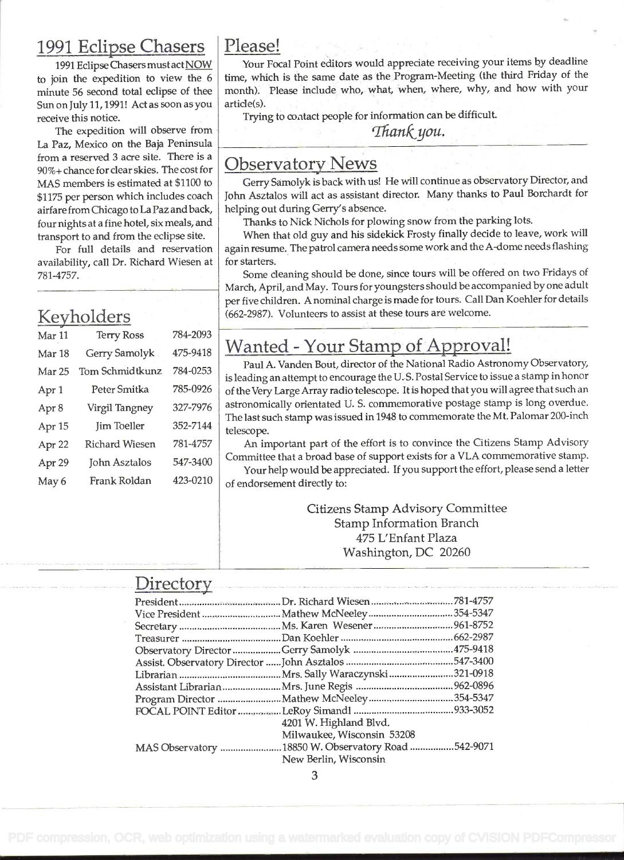#### 1991 Eclipse Chasers

1991 Eclipse Chasers must act NOW to join the expedition to view the 6 minute 56 second total eclipse of thee Sun on July 11, 1991! Act as soon as you receive this notice.

The expedition will observe from La Paz, Mexico on the Baja Peninsula from a reserved 3 acre site. There is a 90%+ chance for clear skies. The cost for MAS members is estimated at \$1100 to \$1175 per person which includes coach airfare from Chicago to La Paz and back, four nights at a fine hotel, six meals, and transport to and from the eclipse site.

For full details and reservation availability, call Dr. Richard Wiesen at 781-4757.

#### Keyholders

| Mar 11            | <b>Terry Ross</b>     | 784-2093 |                           |
|-------------------|-----------------------|----------|---------------------------|
| Mar 18            | Gerry Samolyk         | 475-9418 | $\boldsymbol{\mathsf{N}}$ |
| Mar <sub>25</sub> | Tom Schmidtkunz       | 784-0253 | is l                      |
| Apr 1             | Peter Smitka          | 785-0926 | of t                      |
| Apr 8             | Virgil Tangney        | 327-7976 | ast                       |
| Apr 15            | <b>Jim Toeller</b>    | 352-7144 | Th<br>tel                 |
| Apr 22            | <b>Richard Wiesen</b> | 781-4757 |                           |
| Apr 29            | <b>John Asztalos</b>  | 547-3400 | Co                        |
| May 6             | Frank Roldan          | 423-0210 | $\alpha$ <sub>f</sub>     |

#### Please!

Your Focal Point editors would appreciate receiving your items by deadline time, which is the same date as the Program-Meeting (the third Friday of the month). Please include who, what, when, where, why, and how with your article(s).

Trying to contact people for information can be difficult.

Thank you.

#### Observatory News

Gerry Samolyk is back with us! He will continue as observatory Director, and John Asztalos will act as assistant director. Many thanks to Paul Borchardt for helping out during Gerry's absence.

Thanks to Nick Nichols for plowing snow from the parking lots.

When that old guy and his sidekick Frosty finally decide to leave, work will again resume. The patrol camera needs some work and the A-dome needs flashing for starters.

Some cleaning should be done, since tours will be offered on two Fridays of March, April, and May. Tours for youngsters should be accompanied by one adult per five children. A nominal charge is made for tours. Call Dan Koehier for details (662-2987). Volunteers to assist at these tours are welcome.

#### Wanted - Your Stamp of Approval!

Paul A. Vanden Bout, director of the National Radio Astronomy Observatory, is leading an attempt to encourage the U.S. Postal Service to issue a stamp in honor of the Very Large Array radio telescope. It is hoped that you will agree that such an astronomically orientated U. S. commemorative postage stamp is long overdue. The last such stamp was issued in 1948 to commemorate the Mt. Palomar 200-inch telescope.

An important part of the effort is to convince the Citizens Stamp Advisory Committee that a broad base of support exists for a VLA commemorative stamp.

Your help would be appreciated. If you support the effort, please send a letter of endorsement directly to:

> Citizens Stamp Advisory Committee Stamp Information Branch 475 L'Enfant Plaza Washington, DC 20260

#### Directory

| $\frac{1}{2}$ |                                                    |  |
|---------------|----------------------------------------------------|--|
|               |                                                    |  |
|               |                                                    |  |
|               |                                                    |  |
|               |                                                    |  |
|               |                                                    |  |
|               |                                                    |  |
|               |                                                    |  |
|               |                                                    |  |
|               |                                                    |  |
|               |                                                    |  |
|               | 4201 W. Highland Blvd.                             |  |
|               | Milwaukee, Wisconsin 53208                         |  |
|               | MAS Observatory 18850 W. Observatory Road 542-9071 |  |
|               | New Berlin, Wisconsin                              |  |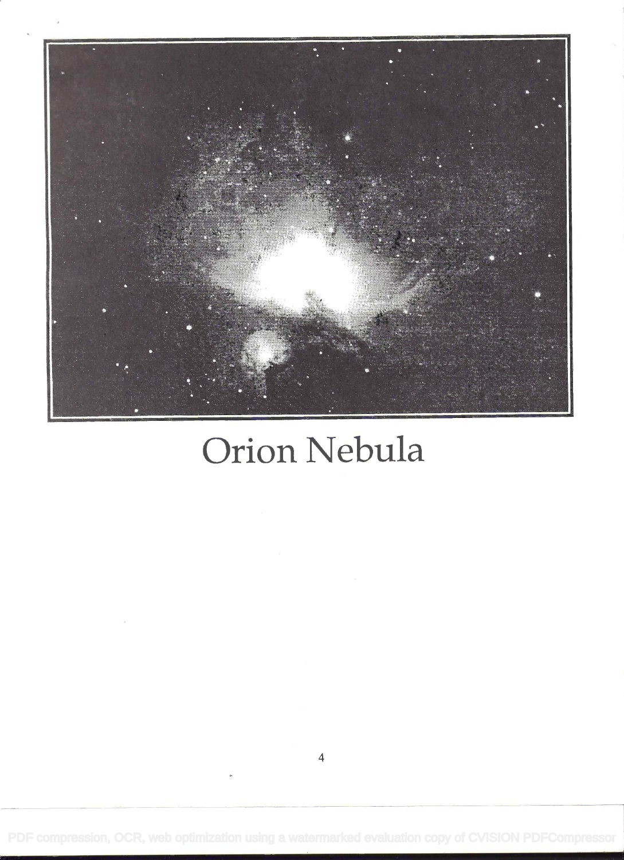

# Orion Nebula